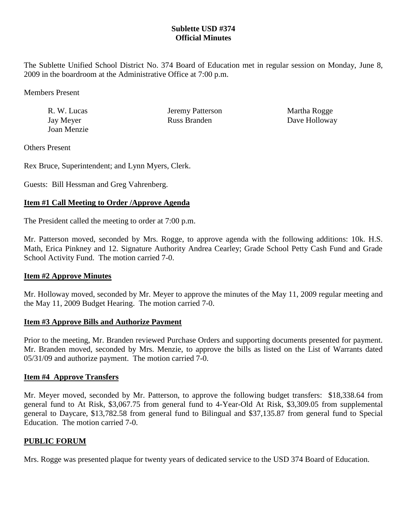## **Sublette USD #374 Official Minutes**

The Sublette Unified School District No. 374 Board of Education met in regular session on Monday, June 8, 2009 in the boardroom at the Administrative Office at 7:00 p.m.

Members Present

Joan Menzie

R. W. Lucas **IER. ISBN SEARCH SEARCH MARTHA ROGGE Martha Rogge** Jay Meyer Russ Branden Dave Holloway

Others Present

Rex Bruce, Superintendent; and Lynn Myers, Clerk.

Guests: Bill Hessman and Greg Vahrenberg.

# **Item #1 Call Meeting to Order /Approve Agenda**

The President called the meeting to order at 7:00 p.m.

Mr. Patterson moved, seconded by Mrs. Rogge, to approve agenda with the following additions: 10k. H.S. Math, Erica Pinkney and 12. Signature Authority Andrea Cearley; Grade School Petty Cash Fund and Grade School Activity Fund. The motion carried 7-0.

## **Item #2 Approve Minutes**

Mr. Holloway moved, seconded by Mr. Meyer to approve the minutes of the May 11, 2009 regular meeting and the May 11, 2009 Budget Hearing. The motion carried 7-0.

## **Item #3 Approve Bills and Authorize Payment**

Prior to the meeting, Mr. Branden reviewed Purchase Orders and supporting documents presented for payment. Mr. Branden moved, seconded by Mrs. Menzie, to approve the bills as listed on the List of Warrants dated 05/31/09 and authorize payment. The motion carried 7-0.

## **Item #4 Approve Transfers**

Mr. Meyer moved, seconded by Mr. Patterson, to approve the following budget transfers: \$18,338.64 from general fund to At Risk, \$3,067.75 from general fund to 4-Year-Old At Risk, \$3,309.05 from supplemental general to Daycare, \$13,782.58 from general fund to Bilingual and \$37,135.87 from general fund to Special Education. The motion carried 7-0.

# **PUBLIC FORUM**

Mrs. Rogge was presented plaque for twenty years of dedicated service to the USD 374 Board of Education.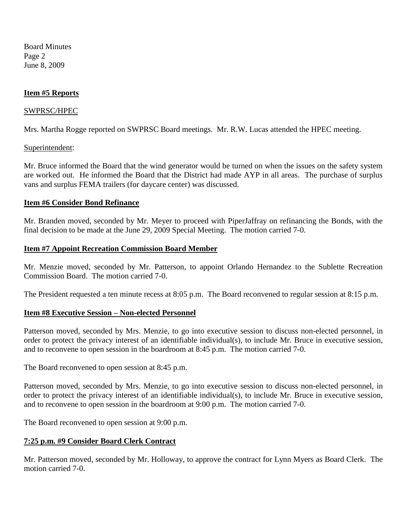Board Minutes Page 2 June 8, 2009

### **Item #5 Reports**

#### SWPRSC/HPEC

Mrs. Martha Rogge reported on SWPRSC Board meetings. Mr. R.W. Lucas attended the HPEC meeting.

#### Superintendent:

Mr. Bruce informed the Board that the wind generator would be turned on when the issues on the safety system are worked out. He informed the Board that the District had made AYP in all areas. The purchase of surplus vans and surplus FEMA trailers (for daycare center) was discussed.

#### **Item #6 Consider Bond Refinance**

Mr. Branden moved, seconded by Mr. Meyer to proceed with PiperJaffray on refinancing the Bonds, with the final decision to be made at the June 29, 2009 Special Meeting. The motion carried 7-0.

#### **Item #7 Appoint Recreation Commission Board Member**

Mr. Menzie moved, seconded by Mr. Patterson, to appoint Orlando Hernandez to the Sublette Recreation Commission Board. The motion carried 7-0.

The President requested a ten minute recess at 8:05 p.m. The Board reconvened to regular session at 8:15 p.m.

#### **Item #8 Executive Session – Non-elected Personnel**

Patterson moved, seconded by Mrs. Menzie, to go into executive session to discuss non-elected personnel, in order to protect the privacy interest of an identifiable individual(s), to include Mr. Bruce in executive session, and to reconvene to open session in the boardroom at 8:45 p.m. The motion carried 7-0.

The Board reconvened to open session at 8:45 p.m.

Patterson moved, seconded by Mrs. Menzie, to go into executive session to discuss non-elected personnel, in order to protect the privacy interest of an identifiable individual(s), to include Mr. Bruce in executive session, and to reconvene to open session in the boardroom at 9:00 p.m. The motion carried 7-0.

The Board reconvened to open session at 9:00 p.m.

#### **7:25 p.m. #9 Consider Board Clerk Contract**

Mr. Patterson moved, seconded by Mr. Holloway, to approve the contract for Lynn Myers as Board Clerk. The motion carried 7-0.